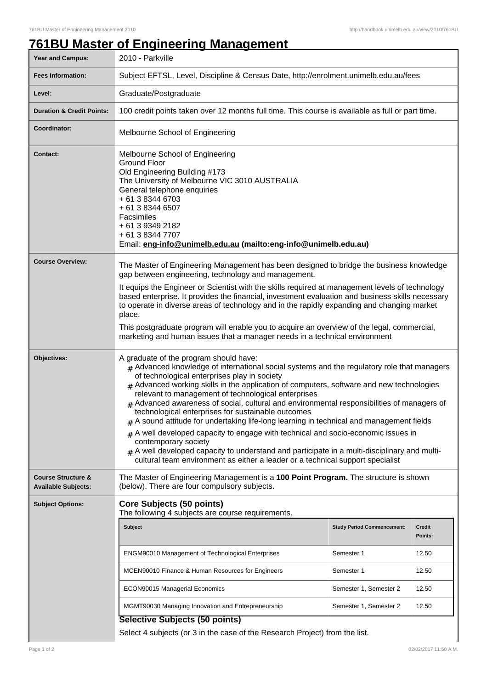## **761BU Master of Engineering Management**

| Year and Campus:                                            | 2010 - Parkville                                                                                                                                                                                                                                                                                                                                                                                                                                                                                                                                                                                                                                                                                                                                                                                                                                                                                   |                                   |                   |  |
|-------------------------------------------------------------|----------------------------------------------------------------------------------------------------------------------------------------------------------------------------------------------------------------------------------------------------------------------------------------------------------------------------------------------------------------------------------------------------------------------------------------------------------------------------------------------------------------------------------------------------------------------------------------------------------------------------------------------------------------------------------------------------------------------------------------------------------------------------------------------------------------------------------------------------------------------------------------------------|-----------------------------------|-------------------|--|
| <b>Fees Information:</b>                                    | Subject EFTSL, Level, Discipline & Census Date, http://enrolment.unimelb.edu.au/fees                                                                                                                                                                                                                                                                                                                                                                                                                                                                                                                                                                                                                                                                                                                                                                                                               |                                   |                   |  |
| Level:                                                      | Graduate/Postgraduate                                                                                                                                                                                                                                                                                                                                                                                                                                                                                                                                                                                                                                                                                                                                                                                                                                                                              |                                   |                   |  |
| <b>Duration &amp; Credit Points:</b>                        | 100 credit points taken over 12 months full time. This course is available as full or part time.                                                                                                                                                                                                                                                                                                                                                                                                                                                                                                                                                                                                                                                                                                                                                                                                   |                                   |                   |  |
| Coordinator:                                                | Melbourne School of Engineering                                                                                                                                                                                                                                                                                                                                                                                                                                                                                                                                                                                                                                                                                                                                                                                                                                                                    |                                   |                   |  |
| <b>Contact:</b>                                             | Melbourne School of Engineering<br><b>Ground Floor</b><br>Old Engineering Building #173<br>The University of Melbourne VIC 3010 AUSTRALIA<br>General telephone enquiries<br>+ 61 3 8344 6703<br>+ 61 3 8344 6507<br>Facsimiles<br>+ 61 3 9349 2182<br>+ 61 3 8344 7707<br>Email: eng-info@unimelb.edu.au (mailto:eng-info@unimelb.edu.au)                                                                                                                                                                                                                                                                                                                                                                                                                                                                                                                                                          |                                   |                   |  |
| <b>Course Overview:</b>                                     | The Master of Engineering Management has been designed to bridge the business knowledge<br>gap between engineering, technology and management.<br>It equips the Engineer or Scientist with the skills required at management levels of technology<br>based enterprise. It provides the financial, investment evaluation and business skills necessary<br>to operate in diverse areas of technology and in the rapidly expanding and changing market<br>place.<br>This postgraduate program will enable you to acquire an overview of the legal, commercial,<br>marketing and human issues that a manager needs in a technical environment                                                                                                                                                                                                                                                          |                                   |                   |  |
| Objectives:                                                 | A graduate of the program should have:<br>$#$ Advanced knowledge of international social systems and the regulatory role that managers<br>of technological enterprises play in society<br>$#$ Advanced working skills in the application of computers, software and new technologies<br>relevant to management of technological enterprises<br>$#$ Advanced awareness of social, cultural and environmental responsibilities of managers of<br>technological enterprises for sustainable outcomes<br>$#$ A sound attitude for undertaking life-long learning in technical and management fields<br>$#$ A well developed capacity to engage with technical and socio-economic issues in<br>contemporary society<br>$#$ A well developed capacity to understand and participate in a multi-disciplinary and multi-<br>cultural team environment as either a leader or a technical support specialist |                                   |                   |  |
| <b>Course Structure &amp;</b><br><b>Available Subjects:</b> | The Master of Engineering Management is a 100 Point Program. The structure is shown<br>(below). There are four compulsory subjects.                                                                                                                                                                                                                                                                                                                                                                                                                                                                                                                                                                                                                                                                                                                                                                |                                   |                   |  |
| <b>Subject Options:</b>                                     | <b>Core Subjects (50 points)</b><br>The following 4 subjects are course requirements.                                                                                                                                                                                                                                                                                                                                                                                                                                                                                                                                                                                                                                                                                                                                                                                                              |                                   |                   |  |
|                                                             | <b>Subject</b>                                                                                                                                                                                                                                                                                                                                                                                                                                                                                                                                                                                                                                                                                                                                                                                                                                                                                     | <b>Study Period Commencement:</b> | Credit<br>Points: |  |
|                                                             | <b>ENGM90010 Management of Technological Enterprises</b>                                                                                                                                                                                                                                                                                                                                                                                                                                                                                                                                                                                                                                                                                                                                                                                                                                           | Semester 1                        | 12.50             |  |
|                                                             | MCEN90010 Finance & Human Resources for Engineers                                                                                                                                                                                                                                                                                                                                                                                                                                                                                                                                                                                                                                                                                                                                                                                                                                                  | Semester 1                        | 12.50             |  |
|                                                             | <b>ECON90015 Managerial Economics</b>                                                                                                                                                                                                                                                                                                                                                                                                                                                                                                                                                                                                                                                                                                                                                                                                                                                              | Semester 1, Semester 2            | 12.50             |  |
|                                                             | MGMT90030 Managing Innovation and Entrepreneurship                                                                                                                                                                                                                                                                                                                                                                                                                                                                                                                                                                                                                                                                                                                                                                                                                                                 | Semester 1, Semester 2            | 12.50             |  |
|                                                             | <b>Selective Subjects (50 points)</b><br>Select 4 subjects (or 3 in the case of the Research Project) from the list.                                                                                                                                                                                                                                                                                                                                                                                                                                                                                                                                                                                                                                                                                                                                                                               |                                   |                   |  |